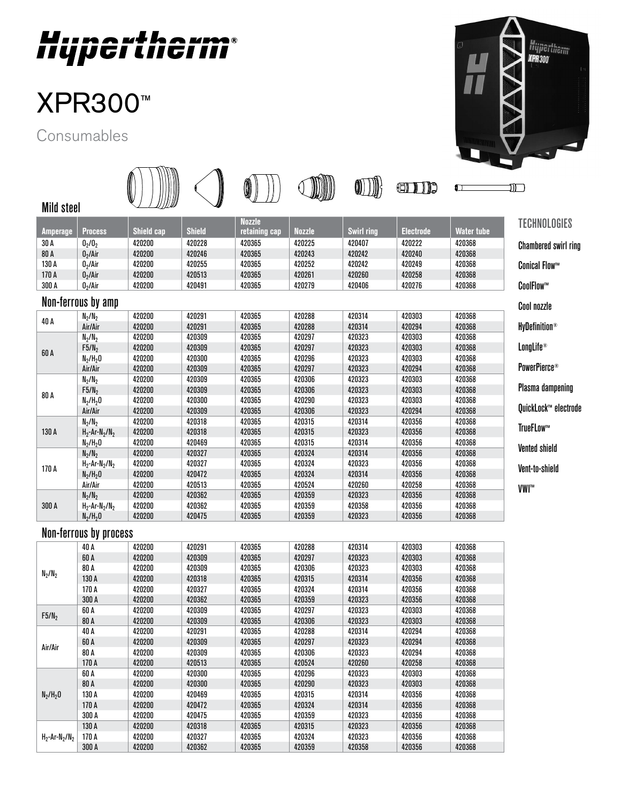

## XPR300 ™

Consumables



|                    |                                          |            |               |                                |               |                   | (月)              | ŋ                 | ר וונ                                  |
|--------------------|------------------------------------------|------------|---------------|--------------------------------|---------------|-------------------|------------------|-------------------|----------------------------------------|
| Mild steel         |                                          |            |               |                                |               |                   |                  |                   |                                        |
| <b>Amperage</b>    | <b>Process</b>                           | Shield cap | <b>Shield</b> | <b>Nozzle</b><br>retaining cap | <b>Nozzle</b> | <b>Swirl ring</b> | <b>Electrode</b> | <b>Water tube</b> | <b>TECHNOLOGIES</b>                    |
| 30 A               | 0 <sub>2</sub> /0 <sub>2</sub>           | 420200     | 420228        | 420365                         | 420225        | 420407            | 420222           | 420368            | <b>Chambered swirl ring</b>            |
| 80 A               | 0 <sub>2</sub> /Air                      | 420200     | 420246        | 420365                         | 420243        | 420242            | 420240           | 420368            |                                        |
| 130 A              | 0 <sub>2</sub> /Air                      | 420200     | 420255        | 420365                         | 420252        | 420242            | 420249           | 420368            | <b>Conical Flow™</b>                   |
| 170 A              | 0 <sub>2</sub> /Air                      | 420200     | 420513        | 420365                         | 420261        | 420260            | 420258           | 420368            |                                        |
| 300 A              | 0 <sub>2</sub> /Air                      | 420200     | 420491        | 420365                         | 420279        | 420406            | 420276           | 420368            | CoolFlow™                              |
| Non-ferrous by amp |                                          |            |               |                                |               |                   | Cool nozzle      |                   |                                        |
|                    | $N_2/N_2$                                | 420200     | 420291        | 420365                         | 420288        | 420314            | 420303           | 420368            |                                        |
| 40 A               | Air/Air                                  | 420200     | 420291        | 420365                         | 420288        | 420314            | 420294           | 420368            | <b>HyDefinition®</b>                   |
|                    | $N_2/N_2$                                | 420200     | 420309        | 420365                         | 420297        | 420323            | 420303           | 420368            |                                        |
|                    | F5/N <sub>2</sub>                        | 420200     | 420309        | 420365                         | 420297        | 420323            | 420303           | 420368            | LongLife®                              |
| 60 A               | $N_2/H_20$                               | 420200     | 420300        | 420365                         | 420296        | 420323            | 420303           | 420368            |                                        |
|                    | Air/Air                                  | 420200     | 420309        | 420365                         | 420297        | 420323            | 420294           | 420368            | PowerPierce <sup>®</sup>               |
|                    | $N_2/N_2$                                | 420200     | 420309        | 420365                         | 420306        | 420323            | 420303           | 420368            |                                        |
|                    | $F5/N_2$                                 | 420200     | 420309        | 420365                         | 420306        | 420323            | 420303           | 420368            | <b>Plasma dampening</b>                |
| 80 A               | $N_2/H_2O$                               | 420200     | 420300        | 420365                         | 420290        | 420323            | 420303           | 420368            |                                        |
|                    | Air/Air                                  | 420200     | 420309        | 420365                         | 420306        | 420323            | 420294           | 420368            | OuickLock™ electrode                   |
|                    | $N_2/N_2$                                | 420200     | 420318        | 420365                         | 420315        | 420314            | 420356           | 420368            | TrueFLow™                              |
| 130 A              | $H_2$ -Ar-N <sub>2</sub> /N <sub>2</sub> | 420200     | 420318        | 420365                         | 420315        | 420323            | 420356           | 420368            |                                        |
|                    | $N_2/H_2O$                               | 420200     | 420469        | 420365                         | 420315        | 420314            | 420356           | 420368            |                                        |
|                    | $N_2/N_2$                                | 420200     | 420327        | 420365                         | 420324        | 420314            | 420356           | 420368            | <b>Vented shield</b><br>Vent-to-shield |
|                    | $H_2$ -Ar-N <sub>2</sub> /N <sub>2</sub> | 420200     | 420327        | 420365                         | 420324        | 420323            | 420356           | 420368            |                                        |
| 170 A              | $N_2/H_2O$                               | 420200     | 420472        | 420365                         | 420324        | 420314            | 420356           | 420368            |                                        |
|                    | Air/Air                                  | 420200     | 420513        | 420365                         | 420524        | 420260            | 420258           | 420368            | VWI™                                   |
| 300 A              | $N_2/N_2$                                | 420200     | 420362        | 420365                         | 420359        | 420323            | 420356           | 420368            |                                        |
|                    | $H_2$ -Ar-N <sub>2</sub> /N <sub>2</sub> | 420200     | 420362        | 420365                         | 420359        | 420358            | 420356           | 420368            |                                        |
|                    | $N_2/H_20$                               | 420200     | 420475        | 420365                         | 420359        | 420323            | 420356           | 420368            |                                        |
|                    | Non-ferrous by process                   |            |               |                                |               |                   |                  |                   |                                        |
|                    | 40 A                                     | 420200     | 420291        | 420365                         | 420288        | 420314            | 420303           | 420368            |                                        |
|                    | 60 A                                     | 420200     | 420309        | 420365                         | 420297        | 420323            | 420303           | 420368            |                                        |

|                                          | 7U M  | <b>420200</b> | サムUムJI | <b>TLUJUJ</b> | <b>420200</b> | サムUUIT | <b>420000</b> | <b>HLUJUU</b> |
|------------------------------------------|-------|---------------|--------|---------------|---------------|--------|---------------|---------------|
| $N_2/N_2$                                | 60 A  | 420200        | 420309 | 420365        | 420297        | 420323 | 420303        | 420368        |
|                                          | 80 A  | 420200        | 420309 | 420365        | 420306        | 420323 | 420303        | 420368        |
|                                          | 130 A | 420200        | 420318 | 420365        | 420315        | 420314 | 420356        | 420368        |
|                                          | 170 A | 420200        | 420327 | 420365        | 420324        | 420314 | 420356        | 420368        |
|                                          | 300 A | 420200        | 420362 | 420365        | 420359        | 420323 | 420356        | 420368        |
| F5/N <sub>2</sub>                        | 60 A  | 420200        | 420309 | 420365        | 420297        | 420323 | 420303        | 420368        |
|                                          | 80 A  | 420200        | 420309 | 420365        | 420306        | 420323 | 420303        | 420368        |
|                                          | 40 A  | 420200        | 420291 | 420365        | 420288        | 420314 | 420294        | 420368        |
| Air/Air                                  | 60 A  | 420200        | 420309 | 420365        | 420297        | 420323 | 420294        | 420368        |
|                                          | 80 A  | 420200        | 420309 | 420365        | 420306        | 420323 | 420294        | 420368        |
|                                          | 170 A | 420200        | 420513 | 420365        | 420524        | 420260 | 420258        | 420368        |
|                                          | 60 A  | 420200        | 420300 | 420365        | 420296        | 420323 | 420303        | 420368        |
|                                          | 80 A  | 420200        | 420300 | 420365        | 420290        | 420323 | 420303        | 420368        |
| $N_2/H_20$                               | 130 A | 420200        | 420469 | 420365        | 420315        | 420314 | 420356        | 420368        |
|                                          | 170 A | 420200        | 420472 | 420365        | 420324        | 420314 | 420356        | 420368        |
|                                          | 300 A | 420200        | 420475 | 420365        | 420359        | 420323 | 420356        | 420368        |
| $H_2$ -Ar-N <sub>2</sub> /N <sub>2</sub> | 130 A | 420200        | 420318 | 420365        | 420315        | 420323 | 420356        | 420368        |
|                                          | 170 A | 420200        | 420327 | 420365        | 420324        | 420323 | 420356        | 420368        |
|                                          | 300 A | 420200        | 420362 | 420365        | 420359        | 420358 | 420356        | 420368        |